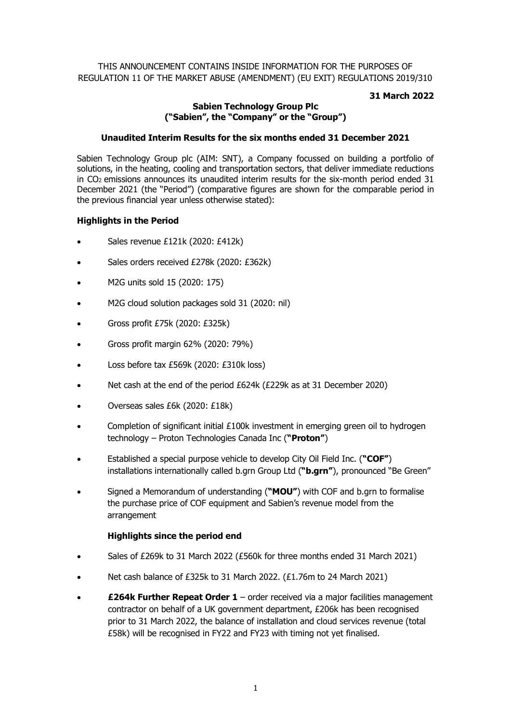# THIS ANNOUNCEMENT CONTAINS INSIDE INFORMATION FOR THE PURPOSES OF REGULATION 11 OF THE MARKET ABUSE (AMENDMENT) (EU EXIT) REGULATIONS 2019/310

# **31 March 2022**

# **Sabien Technology Group Plc ("Sabien", the "Company" or the "Group")**

# **Unaudited Interim Results for the six months ended 31 December 2021**

Sabien Technology Group plc (AIM: SNT), a Company focussed on building a portfolio of solutions, in the heating, cooling and transportation sectors, that deliver immediate reductions in CO2 emissions announces its unaudited interim results for the six-month period ended 31 December 2021 (the "Period") (comparative figures are shown for the comparable period in the previous financial year unless otherwise stated):

# **Highlights in the Period**

- Sales revenue £121k (2020: £412k)
- Sales orders received £278k (2020: £362k)
- M2G units sold 15 (2020: 175)
- M2G cloud solution packages sold 31 (2020: nil)
- Gross profit £75k (2020: £325k)
- Gross profit margin 62% (2020: 79%)
- Loss before tax £569k (2020: £310k loss)
- Net cash at the end of the period £624k (£229k as at 31 December 2020)
- Overseas sales £6k (2020: £18k)
- Completion of significant initial  $£100k$  investment in emerging green oil to hydrogen technology – Proton Technologies Canada Inc (**"Proton"**)
- Established a special purpose vehicle to develop City Oil Field Inc. (**"COF"**) installations internationally called b.grn Group Ltd (**"b.grn"**), pronounced "Be Green"
- Signed a Memorandum of understanding (**"MOU"**) with COF and b.grn to formalise the purchase price of COF equipment and Sabien's revenue model from the arrangement

# **Highlights since the period end**

- Sales of £269k to 31 March 2022 (£560k for three months ended 31 March 2021)
- Net cash balance of £325k to 31 March 2022. (£1.76m to 24 March 2021)
- **£264k Further Repeat Order 1** order received via a major facilities management contractor on behalf of a UK government department, £206k has been recognised prior to 31 March 2022, the balance of installation and cloud services revenue (total £58k) will be recognised in FY22 and FY23 with timing not yet finalised.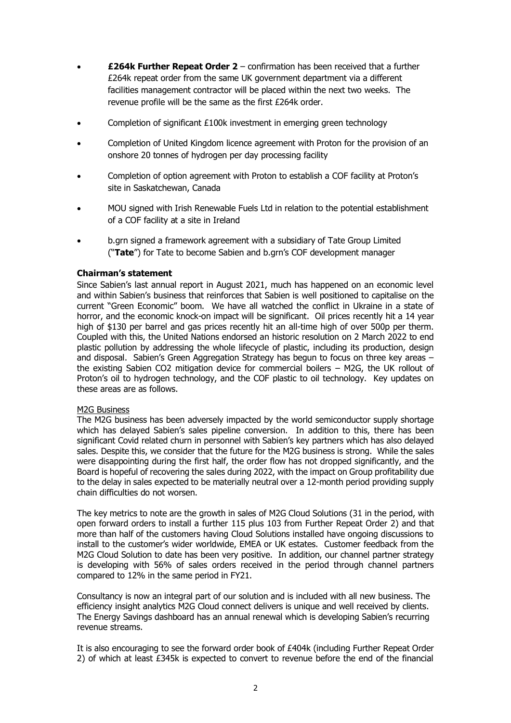- **£264k Further Repeat Order 2** confirmation has been received that a further £264k repeat order from the same UK government department via a different facilities management contractor will be placed within the next two weeks. The revenue profile will be the same as the first £264k order.
- Completion of significant £100k investment in emerging green technology
- Completion of United Kingdom licence agreement with Proton for the provision of an onshore 20 tonnes of hydrogen per day processing facility
- Completion of option agreement with Proton to establish a COF facility at Proton's site in Saskatchewan, Canada
- MOU signed with Irish Renewable Fuels Ltd in relation to the potential establishment of a COF facility at a site in Ireland
- b.grn signed a framework agreement with a subsidiary of Tate Group Limited ("**Tate**") for Tate to become Sabien and b.grn's COF development manager

# **Chairman's statement**

Since Sabien's last annual report in August 2021, much has happened on an economic level and within Sabien's business that reinforces that Sabien is well positioned to capitalise on the current "Green Economic" boom. We have all watched the conflict in Ukraine in a state of horror, and the economic knock-on impact will be significant. Oil prices recently hit a 14 year high of \$130 per barrel and gas prices recently hit an all-time high of over 500p per therm. Coupled with this, the United Nations endorsed an historic resolution on 2 March 2022 to end plastic pollution by addressing the whole lifecycle of plastic, including its production, design and disposal. Sabien's Green Aggregation Strategy has begun to focus on three key areas – the existing Sabien CO2 mitigation device for commercial boilers – M2G, the UK rollout of Proton's oil to hydrogen technology, and the COF plastic to oil technology. Key updates on these areas are as follows.

# M2G Business

The M2G business has been adversely impacted by the world semiconductor supply shortage which has delayed Sabien's sales pipeline conversion. In addition to this, there has been significant Covid related churn in personnel with Sabien's key partners which has also delayed sales. Despite this, we consider that the future for the M2G business is strong. While the sales were disappointing during the first half, the order flow has not dropped significantly, and the Board is hopeful of recovering the sales during 2022, with the impact on Group profitability due to the delay in sales expected to be materially neutral over a 12-month period providing supply chain difficulties do not worsen.

The key metrics to note are the growth in sales of M2G Cloud Solutions (31 in the period, with open forward orders to install a further 115 plus 103 from Further Repeat Order 2) and that more than half of the customers having Cloud Solutions installed have ongoing discussions to install to the customer's wider worldwide, EMEA or UK estates. Customer feedback from the M2G Cloud Solution to date has been very positive. In addition, our channel partner strategy is developing with 56% of sales orders received in the period through channel partners compared to 12% in the same period in FY21.

Consultancy is now an integral part of our solution and is included with all new business. The efficiency insight analytics M2G Cloud connect delivers is unique and well received by clients. The Energy Savings dashboard has an annual renewal which is developing Sabien's recurring revenue streams.

It is also encouraging to see the forward order book of £404k (including Further Repeat Order 2) of which at least £345k is expected to convert to revenue before the end of the financial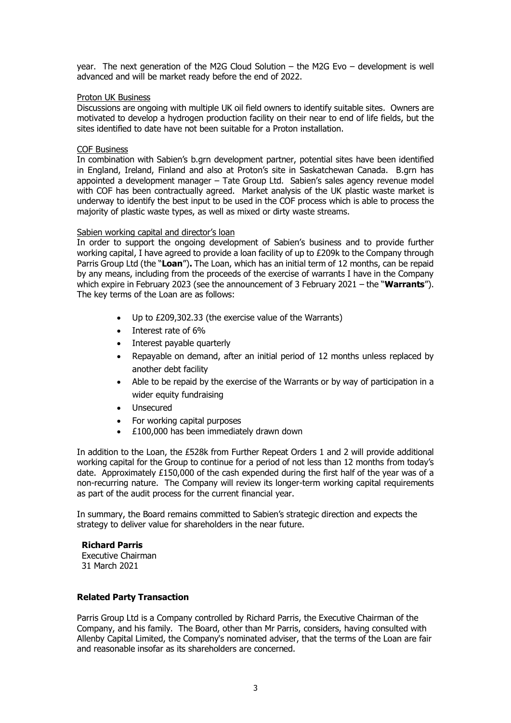year. The next generation of the M2G Cloud Solution – the M2G Evo – development is well advanced and will be market ready before the end of 2022.

### Proton UK Business

Discussions are ongoing with multiple UK oil field owners to identify suitable sites. Owners are motivated to develop a hydrogen production facility on their near to end of life fields, but the sites identified to date have not been suitable for a Proton installation.

### COF Business

In combination with Sabien's b.grn development partner, potential sites have been identified in England, Ireland, Finland and also at Proton's site in Saskatchewan Canada. B.grn has appointed a development manager – Tate Group Ltd. Sabien's sales agency revenue model with COF has been contractually agreed. Market analysis of the UK plastic waste market is underway to identify the best input to be used in the COF process which is able to process the majority of plastic waste types, as well as mixed or dirty waste streams.

### Sabien working capital and director's loan

In order to support the ongoing development of Sabien's business and to provide further working capital, I have agreed to provide a loan facility of up to £209k to the Company through Parris Group Ltd (the "**Loan**")**.** The Loan, which has an initial term of 12 months, can be repaid by any means, including from the proceeds of the exercise of warrants I have in the Company which expire in February 2023 (see the announcement of 3 February 2021 – the "**Warrants**"). The key terms of the Loan are as follows:

- Up to £209,302.33 (the exercise value of the Warrants)
- Interest rate of 6%
- Interest payable quarterly
- Repayable on demand, after an initial period of 12 months unless replaced by another debt facility
- Able to be repaid by the exercise of the Warrants or by way of participation in a wider equity fundraising
- Unsecured
- For working capital purposes
- £100,000 has been immediately drawn down

In addition to the Loan, the £528k from Further Repeat Orders 1 and 2 will provide additional working capital for the Group to continue for a period of not less than 12 months from today's date. Approximately  $£150,000$  of the cash expended during the first half of the year was of a non-recurring nature. The Company will review its longer-term working capital requirements as part of the audit process for the current financial year.

In summary, the Board remains committed to Sabien's strategic direction and expects the strategy to deliver value for shareholders in the near future.

# **Richard Parris**

Executive Chairman 31 March 2021

# **Related Party Transaction**

Parris Group Ltd is a Company controlled by Richard Parris, the Executive Chairman of the Company, and his family. The Board, other than Mr Parris, considers, having consulted with Allenby Capital Limited, the Company's nominated adviser, that the terms of the Loan are fair and reasonable insofar as its shareholders are concerned.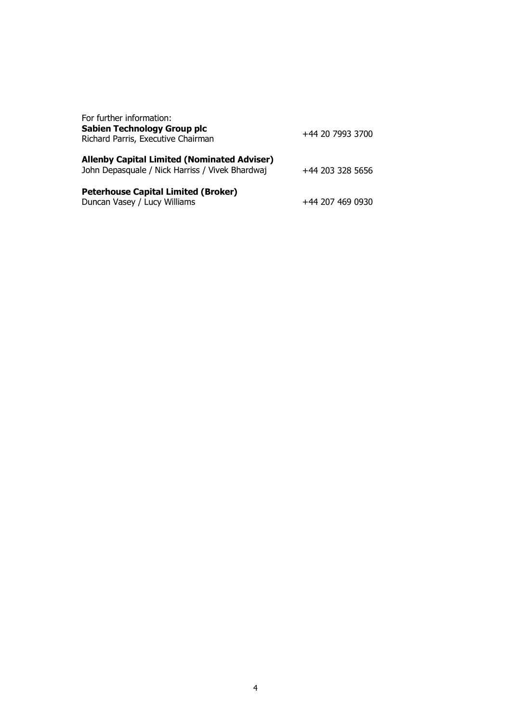| For further information:<br><b>Sabien Technology Group plc</b><br>Richard Parris, Executive Chairman  | +44 20 7993 3700 |
|-------------------------------------------------------------------------------------------------------|------------------|
| <b>Allenby Capital Limited (Nominated Adviser)</b><br>John Depasquale / Nick Harriss / Vivek Bhardwaj | +44 203 328 5656 |
| <b>Peterhouse Capital Limited (Broker)</b><br>Duncan Vasey / Lucy Williams                            | +44 207 469 0930 |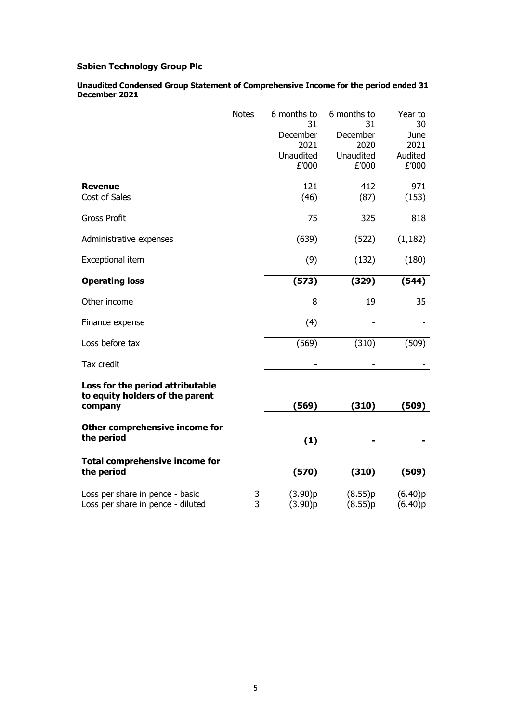**Unaudited Condensed Group Statement of Comprehensive Income for the period ended 31 December 2021**

| <b>Notes</b>                                                                   |        | 6 months to<br>31<br>December<br>2021<br>Unaudited<br>£'000 | 6 months to<br>31<br>December<br>2020<br>Unaudited<br>£'000 | Year to<br>30<br>June<br>2021<br>Audited<br>£'000 |
|--------------------------------------------------------------------------------|--------|-------------------------------------------------------------|-------------------------------------------------------------|---------------------------------------------------|
| <b>Revenue</b><br>Cost of Sales                                                |        | 121<br>(46)                                                 | 412<br>(87)                                                 | 971<br>(153)                                      |
| <b>Gross Profit</b>                                                            |        | 75                                                          | 325                                                         | 818                                               |
| Administrative expenses                                                        |        | (639)                                                       | (522)                                                       | (1, 182)                                          |
| Exceptional item                                                               |        | (9)                                                         | (132)                                                       | (180)                                             |
| <b>Operating loss</b>                                                          |        | (573)                                                       | (329)                                                       | (544)                                             |
| Other income                                                                   |        | 8                                                           | 19                                                          | 35                                                |
| Finance expense                                                                |        | (4)                                                         |                                                             |                                                   |
| Loss before tax                                                                |        | (569)                                                       | (310)                                                       | (509)                                             |
| Tax credit                                                                     |        |                                                             |                                                             |                                                   |
| Loss for the period attributable<br>to equity holders of the parent<br>company |        | (569)                                                       | (310)                                                       | (509)                                             |
| Other comprehensive income for<br>the period                                   |        | (1)                                                         |                                                             |                                                   |
| <b>Total comprehensive income for</b><br>the period                            |        | (570)                                                       | (310)                                                       | (509)                                             |
| Loss per share in pence - basic<br>Loss per share in pence - diluted           | 3<br>3 | (3.90)p<br>(3.90)p                                          | (8.55)p<br>(8.55)p                                          | (6.40)p<br>(6.40)p                                |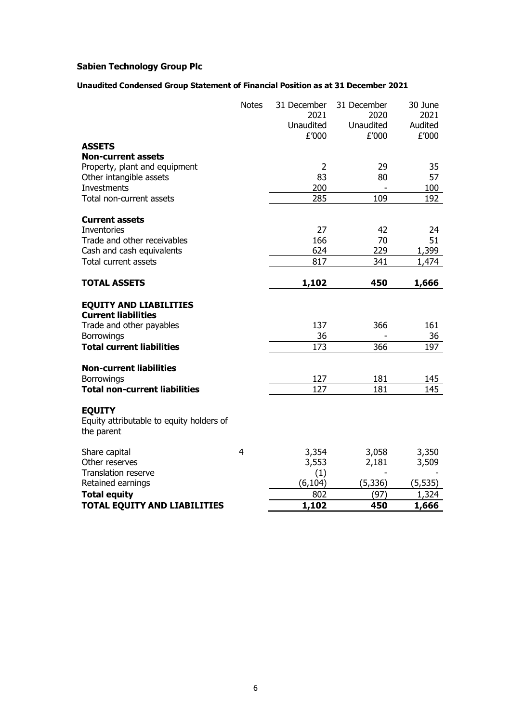# **Unaudited Condensed Group Statement of Financial Position as at 31 December 2021**

|                                          | <b>Notes</b>   | 31 December<br>2021<br>Unaudited<br>£'000 | 31 December<br>2020<br>Unaudited<br>£'000 | 30 June<br>2021<br>Audited<br>£'000 |
|------------------------------------------|----------------|-------------------------------------------|-------------------------------------------|-------------------------------------|
| <b>ASSETS</b>                            |                |                                           |                                           |                                     |
| <b>Non-current assets</b>                |                |                                           |                                           |                                     |
| Property, plant and equipment            |                | 2                                         | 29                                        | 35                                  |
| Other intangible assets                  |                | 83                                        | 80                                        | 57                                  |
| <b>Investments</b>                       |                | 200                                       |                                           | 100                                 |
| Total non-current assets                 |                | 285                                       | 109                                       | 192                                 |
| <b>Current assets</b>                    |                |                                           |                                           |                                     |
| <b>Inventories</b>                       |                | 27                                        | 42                                        | 24                                  |
| Trade and other receivables              |                | 166                                       | 70                                        | 51                                  |
| Cash and cash equivalents                |                | 624                                       | 229                                       | 1,399                               |
| Total current assets                     |                | 817                                       | 341                                       | 1,474                               |
| <b>TOTAL ASSETS</b>                      |                |                                           | 450                                       |                                     |
|                                          |                | 1,102                                     |                                           | 1,666                               |
| <b>EQUITY AND LIABILITIES</b>            |                |                                           |                                           |                                     |
| <b>Current liabilities</b>               |                |                                           |                                           |                                     |
| Trade and other payables                 |                | 137                                       | 366                                       | 161                                 |
| <b>Borrowings</b>                        |                | 36                                        |                                           | 36                                  |
| <b>Total current liabilities</b>         |                | 173                                       | 366                                       | 197                                 |
| <b>Non-current liabilities</b>           |                |                                           |                                           |                                     |
| <b>Borrowings</b>                        |                | 127                                       | 181                                       | 145                                 |
| <b>Total non-current liabilities</b>     |                | 127                                       | 181                                       | 145                                 |
|                                          |                |                                           |                                           |                                     |
| <b>EQUITY</b>                            |                |                                           |                                           |                                     |
| Equity attributable to equity holders of |                |                                           |                                           |                                     |
| the parent                               |                |                                           |                                           |                                     |
| Share capital                            | $\overline{4}$ | 3,354                                     | 3,058                                     | 3,350                               |
| Other reserves                           |                | 3,553                                     | 2,181                                     | 3,509                               |
| Translation reserve                      |                | (1)                                       |                                           |                                     |
| Retained earnings                        |                | (6, 104)                                  | (5, 336)                                  | (5, 535)                            |
| <b>Total equity</b>                      |                | 802                                       | (97)                                      | 1,324                               |
| <b>TOTAL EQUITY AND LIABILITIES</b>      |                | 1,102                                     | 450                                       | 1,666                               |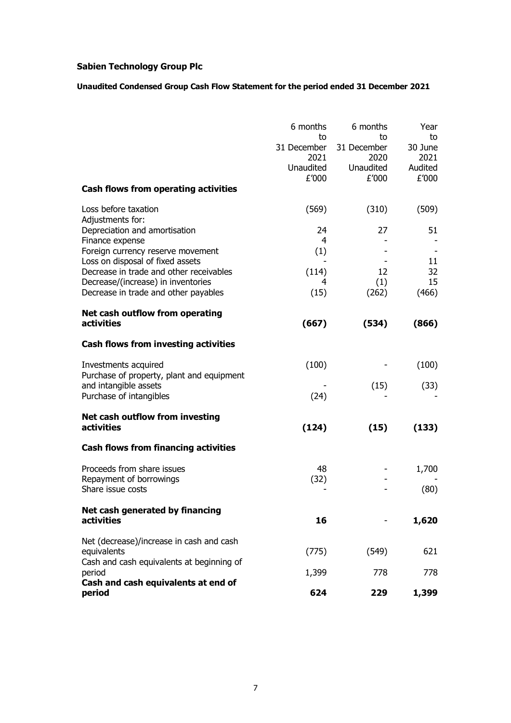# **Unaudited Condensed Group Cash Flow Statement for the period ended 31 December 2021**

|                                                                    | 6 months                               | 6 months<br>to                          | Year                             |
|--------------------------------------------------------------------|----------------------------------------|-----------------------------------------|----------------------------------|
|                                                                    | to<br>31 December<br>2021<br>Unaudited | 31 December<br>2020<br><b>Unaudited</b> | to<br>30 June<br>2021<br>Audited |
|                                                                    | £'000                                  | £'000                                   | £'000                            |
| Cash flows from operating activities                               |                                        |                                         |                                  |
| Loss before taxation<br>Adjustments for:                           | (569)                                  | (310)                                   | (509)                            |
| Depreciation and amortisation                                      | 24                                     | 27                                      | 51                               |
| Finance expense<br>Foreign currency reserve movement               | 4<br>(1)                               |                                         |                                  |
| Loss on disposal of fixed assets                                   |                                        |                                         | 11                               |
| Decrease in trade and other receivables                            | (114)                                  | 12                                      | 32                               |
| Decrease/(increase) in inventories                                 | 4                                      | (1)                                     | 15                               |
| Decrease in trade and other payables                               | (15)                                   | (262)                                   | (466)                            |
| Net cash outflow from operating                                    |                                        |                                         |                                  |
| activities                                                         | (667)                                  | (534)                                   | (866)                            |
| Cash flows from investing activities                               |                                        |                                         |                                  |
| Investments acquired                                               | (100)                                  |                                         | (100)                            |
| Purchase of property, plant and equipment<br>and intangible assets |                                        |                                         |                                  |
| Purchase of intangibles                                            | (24)                                   | (15)                                    | (33)                             |
| Net cash outflow from investing                                    |                                        |                                         |                                  |
| activities                                                         | (124)                                  | (15)                                    | (133)                            |
| <b>Cash flows from financing activities</b>                        |                                        |                                         |                                  |
| Proceeds from share issues                                         | 48                                     |                                         | 1,700                            |
| Repayment of borrowings<br>Share issue costs                       | (32)                                   |                                         | (80)                             |
|                                                                    |                                        |                                         |                                  |
| Net cash generated by financing                                    |                                        |                                         |                                  |
| <b>activities</b>                                                  | 16                                     |                                         | 1,620                            |
| Net (decrease)/increase in cash and cash                           |                                        |                                         |                                  |
| equivalents                                                        | (775)                                  | (549)                                   | 621                              |
| Cash and cash equivalents at beginning of                          |                                        |                                         |                                  |
| period                                                             | 1,399                                  | 778                                     | 778                              |
| Cash and cash equivalents at end of<br>period                      | 624                                    | 229                                     | 1,399                            |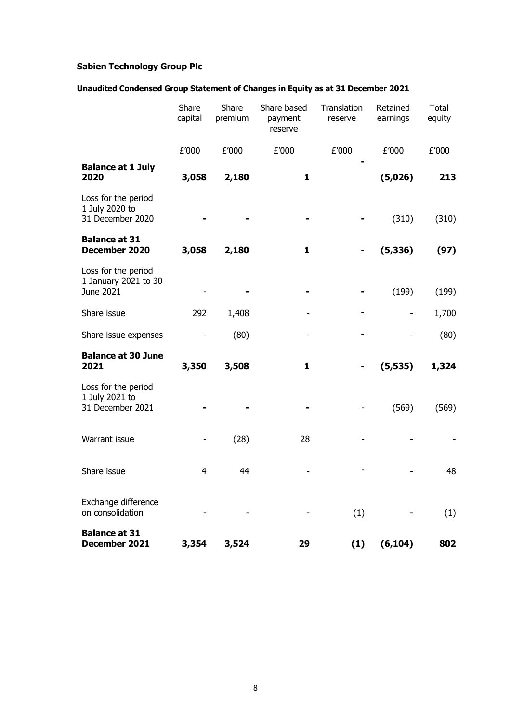# **Unaudited Condensed Group Statement of Changes in Equity as at 31 December 2021**

|                                                           | Share<br>capital | Share<br>premium | Share based<br>payment<br>reserve | Translation<br>reserve | Retained<br>earnings     | <b>Total</b><br>equity |
|-----------------------------------------------------------|------------------|------------------|-----------------------------------|------------------------|--------------------------|------------------------|
|                                                           | £'000            | £'000            | £'000                             | £'000                  | £'000                    | £'000                  |
| <b>Balance at 1 July</b><br>2020                          | 3,058            | 2,180            | 1                                 |                        | (5,026)                  | 213                    |
| Loss for the period<br>1 July 2020 to<br>31 December 2020 |                  |                  |                                   |                        | (310)                    | (310)                  |
| <b>Balance at 31</b><br>December 2020                     | 3,058            | 2,180            | 1                                 |                        | (5, 336)                 | (97)                   |
| Loss for the period<br>1 January 2021 to 30<br>June 2021  |                  |                  |                                   |                        | (199)                    | (199)                  |
| Share issue                                               | 292              | 1,408            |                                   |                        | $\overline{\phantom{a}}$ | 1,700                  |
| Share issue expenses                                      |                  | (80)             |                                   |                        |                          | (80)                   |
| <b>Balance at 30 June</b><br>2021                         | 3,350            | 3,508            | $\mathbf{1}$                      |                        | (5, 535)                 | 1,324                  |
| Loss for the period<br>1 July 2021 to<br>31 December 2021 |                  |                  |                                   |                        | (569)                    | (569)                  |
| Warrant issue                                             |                  | (28)             | 28                                |                        |                          |                        |
| Share issue                                               | 4                | 44               |                                   |                        |                          | 48                     |
| Exchange difference<br>on consolidation                   |                  |                  |                                   | (1)                    |                          | (1)                    |
| <b>Balance at 31</b><br>December 2021                     | 3,354            | 3,524            | 29                                | (1)                    | (6, 104)                 | 802                    |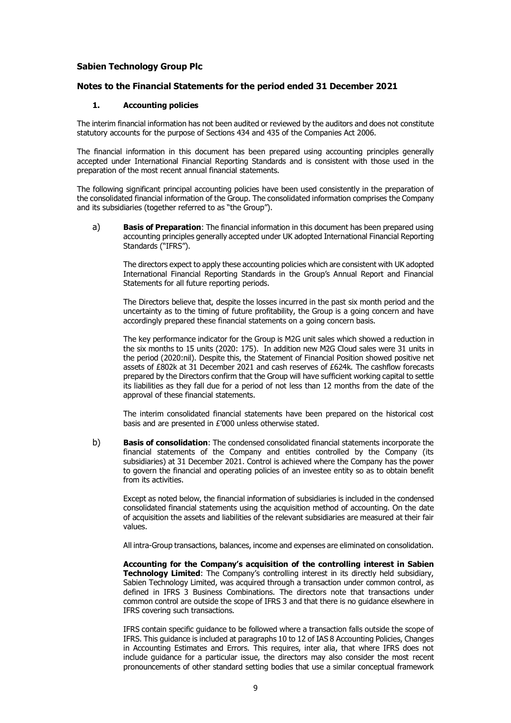### **Notes to the Financial Statements for the period ended 31 December 2021**

### **1. Accounting policies**

The interim financial information has not been audited or reviewed by the auditors and does not constitute statutory accounts for the purpose of Sections 434 and 435 of the Companies Act 2006.

The financial information in this document has been prepared using accounting principles generally accepted under International Financial Reporting Standards and is consistent with those used in the preparation of the most recent annual financial statements.

The following significant principal accounting policies have been used consistently in the preparation of the consolidated financial information of the Group. The consolidated information comprises the Company and its subsidiaries (together referred to as "the Group").

a) **Basis of Preparation**: The financial information in this document has been prepared using accounting principles generally accepted under UK adopted International Financial Reporting Standards ("IFRS").

The directors expect to apply these accounting policies which are consistent with UK adopted International Financial Reporting Standards in the Group's Annual Report and Financial Statements for all future reporting periods.

The Directors believe that, despite the losses incurred in the past six month period and the uncertainty as to the timing of future profitability, the Group is a going concern and have accordingly prepared these financial statements on a going concern basis.

The key performance indicator for the Group is M2G unit sales which showed a reduction in the six months to 15 units (2020: 175). In addition new M2G Cloud sales were 31 units in the period (2020:nil). Despite this, the Statement of Financial Position showed positive net assets of £802k at 31 December 2021 and cash reserves of £624k. The cashflow forecasts prepared by the Directors confirm that the Group will have sufficient working capital to settle its liabilities as they fall due for a period of not less than 12 months from the date of the approval of these financial statements.

The interim consolidated financial statements have been prepared on the historical cost basis and are presented in £'000 unless otherwise stated.

b) **Basis of consolidation**: The condensed consolidated financial statements incorporate the financial statements of the Company and entities controlled by the Company (its subsidiaries) at 31 December 2021. Control is achieved where the Company has the power to govern the financial and operating policies of an investee entity so as to obtain benefit from its activities.

Except as noted below, the financial information of subsidiaries is included in the condensed consolidated financial statements using the acquisition method of accounting. On the date of acquisition the assets and liabilities of the relevant subsidiaries are measured at their fair values.

All intra-Group transactions, balances, income and expenses are eliminated on consolidation.

**Accounting for the Company's acquisition of the controlling interest in Sabien Technology Limited:** The Company's controlling interest in its directly held subsidiary, Sabien Technology Limited, was acquired through a transaction under common control, as defined in IFRS 3 Business Combinations. The directors note that transactions under common control are outside the scope of IFRS 3 and that there is no guidance elsewhere in IFRS covering such transactions.

IFRS contain specific guidance to be followed where a transaction falls outside the scope of IFRS. This guidance is included at paragraphs 10 to 12 of IAS 8 Accounting Policies, Changes in Accounting Estimates and Errors. This requires, inter alia, that where IFRS does not include guidance for a particular issue, the directors may also consider the most recent pronouncements of other standard setting bodies that use a similar conceptual framework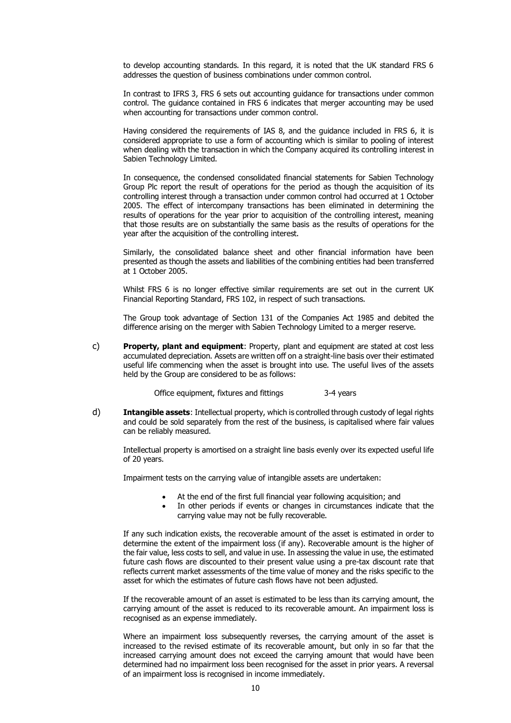to develop accounting standards. In this regard, it is noted that the UK standard FRS 6 addresses the question of business combinations under common control.

In contrast to IFRS 3, FRS 6 sets out accounting guidance for transactions under common control. The guidance contained in FRS 6 indicates that merger accounting may be used when accounting for transactions under common control.

Having considered the requirements of IAS 8, and the guidance included in FRS 6, it is considered appropriate to use a form of accounting which is similar to pooling of interest when dealing with the transaction in which the Company acquired its controlling interest in Sabien Technology Limited.

In consequence, the condensed consolidated financial statements for Sabien Technology Group Plc report the result of operations for the period as though the acquisition of its controlling interest through a transaction under common control had occurred at 1 October 2005. The effect of intercompany transactions has been eliminated in determining the results of operations for the year prior to acquisition of the controlling interest, meaning that those results are on substantially the same basis as the results of operations for the year after the acquisition of the controlling interest.

Similarly, the consolidated balance sheet and other financial information have been presented as though the assets and liabilities of the combining entities had been transferred at 1 October 2005.

Whilst FRS 6 is no longer effective similar requirements are set out in the current UK Financial Reporting Standard, FRS 102, in respect of such transactions.

The Group took advantage of Section 131 of the Companies Act 1985 and debited the difference arising on the merger with Sabien Technology Limited to a merger reserve.

c) **Property, plant and equipment**: Property, plant and equipment are stated at cost less accumulated depreciation. Assets are written off on a straight-line basis over their estimated useful life commencing when the asset is brought into use. The useful lives of the assets held by the Group are considered to be as follows:

Office equipment, fixtures and fittings 3-4 years

d) **Intangible assets**: Intellectual property, which is controlled through custody of legal rights and could be sold separately from the rest of the business, is capitalised where fair values can be reliably measured.

Intellectual property is amortised on a straight line basis evenly over its expected useful life of 20 years.

Impairment tests on the carrying value of intangible assets are undertaken:

- At the end of the first full financial year following acquisition; and
- In other periods if events or changes in circumstances indicate that the carrying value may not be fully recoverable.

If any such indication exists, the recoverable amount of the asset is estimated in order to determine the extent of the impairment loss (if any). Recoverable amount is the higher of the fair value, less costs to sell, and value in use. In assessing the value in use, the estimated future cash flows are discounted to their present value using a pre-tax discount rate that reflects current market assessments of the time value of money and the risks specific to the asset for which the estimates of future cash flows have not been adjusted.

If the recoverable amount of an asset is estimated to be less than its carrying amount, the carrying amount of the asset is reduced to its recoverable amount. An impairment loss is recognised as an expense immediately.

Where an impairment loss subsequently reverses, the carrying amount of the asset is increased to the revised estimate of its recoverable amount, but only in so far that the increased carrying amount does not exceed the carrying amount that would have been determined had no impairment loss been recognised for the asset in prior years. A reversal of an impairment loss is recognised in income immediately.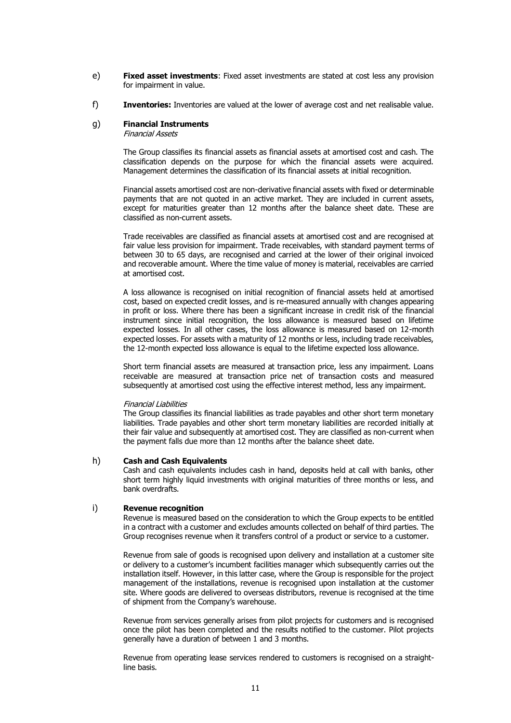- e) **Fixed asset investments**: Fixed asset investments are stated at cost less any provision for impairment in value.
- f) **Inventories:** Inventories are valued at the lower of average cost and net realisable value.

#### g) **Financial Instruments**

Financial Assets

The Group classifies its financial assets as financial assets at amortised cost and cash. The classification depends on the purpose for which the financial assets were acquired. Management determines the classification of its financial assets at initial recognition.

Financial assets amortised cost are non-derivative financial assets with fixed or determinable payments that are not quoted in an active market. They are included in current assets, except for maturities greater than 12 months after the balance sheet date. These are classified as non-current assets.

Trade receivables are classified as financial assets at amortised cost and are recognised at fair value less provision for impairment. Trade receivables, with standard payment terms of between 30 to 65 days, are recognised and carried at the lower of their original invoiced and recoverable amount. Where the time value of money is material, receivables are carried at amortised cost.

A loss allowance is recognised on initial recognition of financial assets held at amortised cost, based on expected credit losses, and is re-measured annually with changes appearing in profit or loss. Where there has been a significant increase in credit risk of the financial instrument since initial recognition, the loss allowance is measured based on lifetime expected losses. In all other cases, the loss allowance is measured based on 12-month expected losses. For assets with a maturity of 12 months or less, including trade receivables, the 12-month expected loss allowance is equal to the lifetime expected loss allowance.

Short term financial assets are measured at transaction price, less any impairment. Loans receivable are measured at transaction price net of transaction costs and measured subsequently at amortised cost using the effective interest method, less any impairment.

#### Financial Liabilities

The Group classifies its financial liabilities as trade payables and other short term monetary liabilities. Trade payables and other short term monetary liabilities are recorded initially at their fair value and subsequently at amortised cost. They are classified as non-current when the payment falls due more than 12 months after the balance sheet date.

### h) **Cash and Cash Equivalents**

Cash and cash equivalents includes cash in hand, deposits held at call with banks, other short term highly liquid investments with original maturities of three months or less, and bank overdrafts.

### i) **Revenue recognition**

Revenue is measured based on the consideration to which the Group expects to be entitled in a contract with a customer and excludes amounts collected on behalf of third parties. The Group recognises revenue when it transfers control of a product or service to a customer.

Revenue from sale of goods is recognised upon delivery and installation at a customer site or delivery to a customer's incumbent facilities manager which subsequently carries out the installation itself. However, in this latter case, where the Group is responsible for the project management of the installations, revenue is recognised upon installation at the customer site. Where goods are delivered to overseas distributors, revenue is recognised at the time of shipment from the Company's warehouse.

Revenue from services generally arises from pilot projects for customers and is recognised once the pilot has been completed and the results notified to the customer. Pilot projects generally have a duration of between 1 and 3 months.

Revenue from operating lease services rendered to customers is recognised on a straightline basis.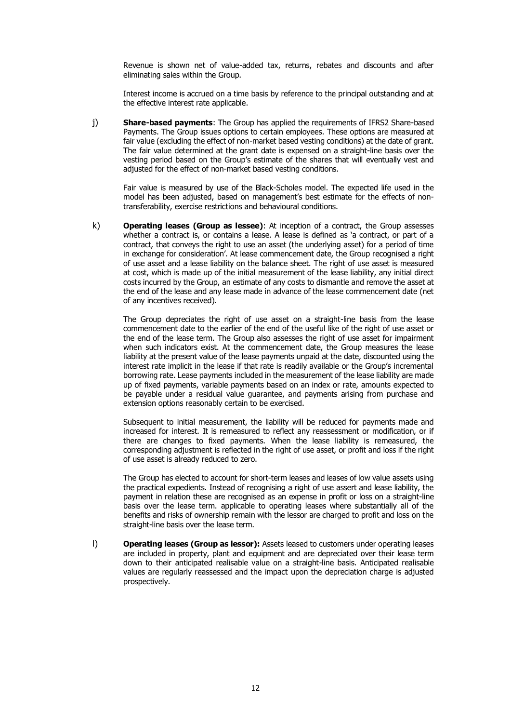Revenue is shown net of value-added tax, returns, rebates and discounts and after eliminating sales within the Group.

Interest income is accrued on a time basis by reference to the principal outstanding and at the effective interest rate applicable.

j) **Share-based payments**: The Group has applied the requirements of IFRS2 Share-based Payments. The Group issues options to certain employees. These options are measured at fair value (excluding the effect of non-market based vesting conditions) at the date of grant. The fair value determined at the grant date is expensed on a straight-line basis over the vesting period based on the Group's estimate of the shares that will eventually vest and adjusted for the effect of non-market based vesting conditions.

Fair value is measured by use of the Black-Scholes model. The expected life used in the model has been adjusted, based on management's best estimate for the effects of nontransferability, exercise restrictions and behavioural conditions.

k) **Operating leases (Group as lessee)**: At inception of a contract, the Group assesses whether a contract is, or contains a lease. A lease is defined as 'a contract, or part of a contract, that conveys the right to use an asset (the underlying asset) for a period of time in exchange for consideration'. At lease commencement date, the Group recognised a right of use asset and a lease liability on the balance sheet. The right of use asset is measured at cost, which is made up of the initial measurement of the lease liability, any initial direct costs incurred by the Group, an estimate of any costs to dismantle and remove the asset at the end of the lease and any lease made in advance of the lease commencement date (net of any incentives received).

The Group depreciates the right of use asset on a straight-line basis from the lease commencement date to the earlier of the end of the useful like of the right of use asset or the end of the lease term. The Group also assesses the right of use asset for impairment when such indicators exist. At the commencement date, the Group measures the lease liability at the present value of the lease payments unpaid at the date, discounted using the interest rate implicit in the lease if that rate is readily available or the Group's incremental borrowing rate. Lease payments included in the measurement of the lease liability are made up of fixed payments, variable payments based on an index or rate, amounts expected to be payable under a residual value guarantee, and payments arising from purchase and extension options reasonably certain to be exercised.

Subsequent to initial measurement, the liability will be reduced for payments made and increased for interest. It is remeasured to reflect any reassessment or modification, or if there are changes to fixed payments. When the lease liability is remeasured, the corresponding adjustment is reflected in the right of use asset, or profit and loss if the right of use asset is already reduced to zero.

The Group has elected to account for short-term leases and leases of low value assets using the practical expedients. Instead of recognising a right of use assert and lease liability, the payment in relation these are recognised as an expense in profit or loss on a straight-line basis over the lease term. applicable to operating leases where substantially all of the benefits and risks of ownership remain with the lessor are charged to profit and loss on the straight-line basis over the lease term.

l) **Operating leases (Group as lessor):** Assets leased to customers under operating leases are included in property, plant and equipment and are depreciated over their lease term down to their anticipated realisable value on a straight-line basis. Anticipated realisable values are regularly reassessed and the impact upon the depreciation charge is adjusted prospectively.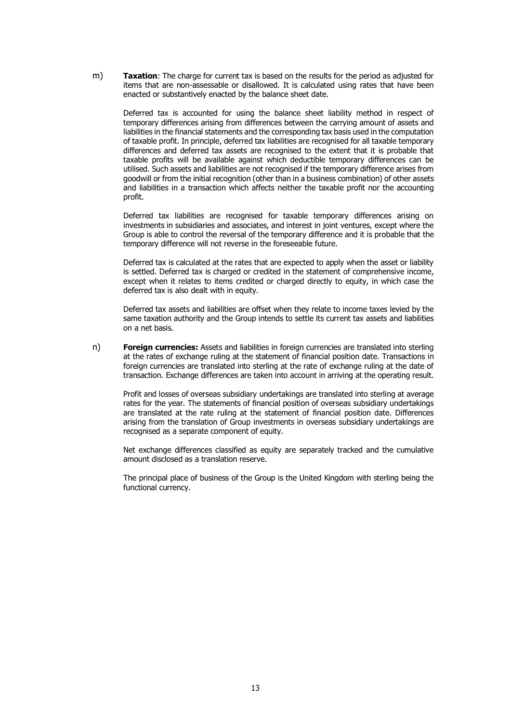m) **Taxation**: The charge for current tax is based on the results for the period as adjusted for items that are non-assessable or disallowed. It is calculated using rates that have been enacted or substantively enacted by the balance sheet date.

Deferred tax is accounted for using the balance sheet liability method in respect of temporary differences arising from differences between the carrying amount of assets and liabilities in the financial statements and the corresponding tax basis used in the computation of taxable profit. In principle, deferred tax liabilities are recognised for all taxable temporary differences and deferred tax assets are recognised to the extent that it is probable that taxable profits will be available against which deductible temporary differences can be utilised. Such assets and liabilities are not recognised if the temporary difference arises from goodwill or from the initial recognition (other than in a business combination) of other assets and liabilities in a transaction which affects neither the taxable profit nor the accounting profit.

Deferred tax liabilities are recognised for taxable temporary differences arising on investments in subsidiaries and associates, and interest in joint ventures, except where the Group is able to control the reversal of the temporary difference and it is probable that the temporary difference will not reverse in the foreseeable future.

Deferred tax is calculated at the rates that are expected to apply when the asset or liability is settled. Deferred tax is charged or credited in the statement of comprehensive income, except when it relates to items credited or charged directly to equity, in which case the deferred tax is also dealt with in equity.

Deferred tax assets and liabilities are offset when they relate to income taxes levied by the same taxation authority and the Group intends to settle its current tax assets and liabilities on a net basis.

n) **Foreign currencies:** Assets and liabilities in foreign currencies are translated into sterling at the rates of exchange ruling at the statement of financial position date. Transactions in foreign currencies are translated into sterling at the rate of exchange ruling at the date of transaction. Exchange differences are taken into account in arriving at the operating result.

Profit and losses of overseas subsidiary undertakings are translated into sterling at average rates for the year. The statements of financial position of overseas subsidiary undertakings are translated at the rate ruling at the statement of financial position date. Differences arising from the translation of Group investments in overseas subsidiary undertakings are recognised as a separate component of equity.

Net exchange differences classified as equity are separately tracked and the cumulative amount disclosed as a translation reserve.

The principal place of business of the Group is the United Kingdom with sterling being the functional currency.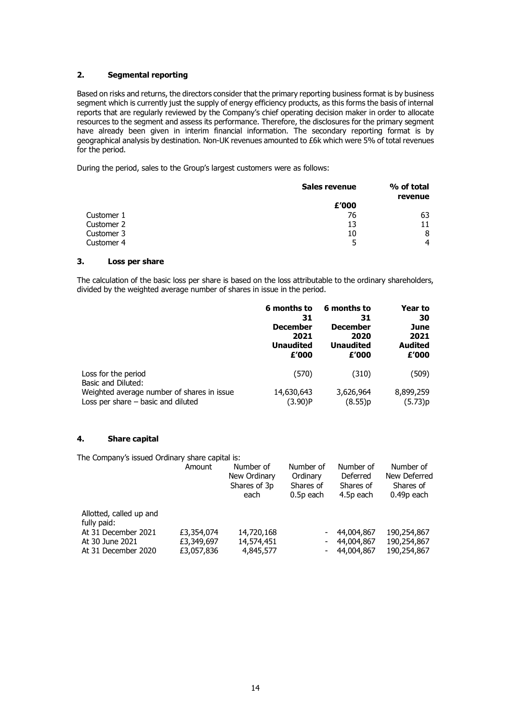### **2. Segmental reporting**

Based on risks and returns, the directors consider that the primary reporting business format is by business segment which is currently just the supply of energy efficiency products, as this forms the basis of internal reports that are regularly reviewed by the Company's chief operating decision maker in order to allocate resources to the segment and assess its performance. Therefore, the disclosures for the primary segment have already been given in interim financial information. The secondary reporting format is by geographical analysis by destination. Non-UK revenues amounted to £6k which were 5% of total revenues for the period.

During the period, sales to the Group's largest customers were as follows:

|            | Sales revenue | % of total<br>revenue |
|------------|---------------|-----------------------|
|            | £'000         |                       |
| Customer 1 | 76            | 63                    |
| Customer 2 | 13            |                       |
| Customer 3 | 10            | 8                     |
| Customer 4 | 5             | 4                     |

### **3. Loss per share**

The calculation of the basic loss per share is based on the loss attributable to the ordinary shareholders, divided by the weighted average number of shares in issue in the period.

|                                            | 6 months to      | 6 months to      | Year to        |
|--------------------------------------------|------------------|------------------|----------------|
|                                            | 31               | 31               | 30             |
|                                            | <b>December</b>  | <b>December</b>  | June           |
|                                            | 2021             | 2020             | 2021           |
|                                            | <b>Unaudited</b> | <b>Unaudited</b> | <b>Audited</b> |
|                                            | £'000            | £'000            | £'000          |
| Loss for the period<br>Basic and Diluted:  | (570)            | (310)            | (509)          |
| Weighted average number of shares in issue | 14,630,643       | 3,626,964        | 8,899,259      |
| Loss per share $-$ basic and diluted       | (3.90)P          | (8.55)p          | (5.73)p        |

### **4. Share capital**

The Company's issued Ordinary share capital is:

|                                        | Amount     | Number of<br>New Ordinary<br>Shares of 3p<br>each | Number of<br>Ordinary<br>Shares of<br>0.5p each | Number of<br>Deferred<br>Shares of<br>4.5p each | Number of<br>New Deferred<br>Shares of<br>0.49p each |
|----------------------------------------|------------|---------------------------------------------------|-------------------------------------------------|-------------------------------------------------|------------------------------------------------------|
| Allotted, called up and<br>fully paid: |            |                                                   |                                                 |                                                 |                                                      |
| At 31 December 2021                    | £3,354,074 | 14,720,168                                        |                                                 | 44,004,867                                      | 190,254,867                                          |
| At 30 June 2021                        | £3,349,697 | 14,574,451                                        | ۰.                                              | 44,004,867                                      | 190,254,867                                          |
| At 31 December 2020                    | £3,057,836 | 4,845,577                                         |                                                 | 44,004,867                                      | 190,254,867                                          |